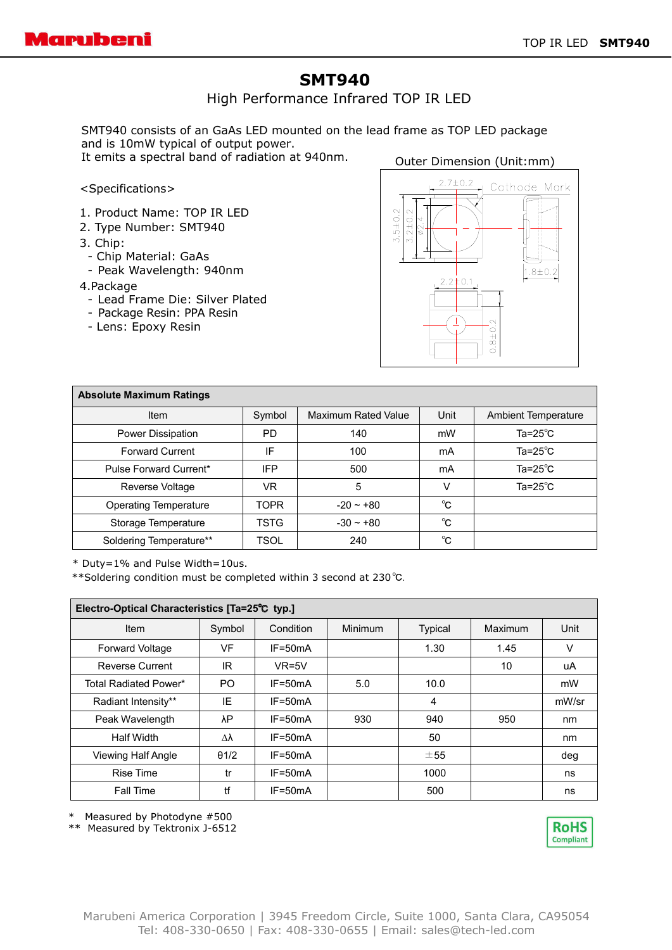# **SMT940**

High Performance Infrared TOP IR LED

SMT940 consists of an GaAs LED mounted on the lead frame as TOP LED package and is 10mW typical of output power.

It emits a spectral band of radiation at 940nm.

### Outer Dimension (Unit:mm)

#### <Specifications>

- 1. Product Name: TOP IR LED
- 2. Type Number: SMT940
- 3. Chip:
- Chip Material: GaAs
- Peak Wavelength: 940nm

#### 4.Package

- Lead Frame Die: Silver Plated
- Package Resin: PPA Resin
- Lens: Epoxy Resin



| <b>Absolute Maximum Ratings</b> |             |                            |      |                            |  |  |  |  |  |
|---------------------------------|-------------|----------------------------|------|----------------------------|--|--|--|--|--|
| Item                            | Symbol      | <b>Maximum Rated Value</b> | Unit | <b>Ambient Temperature</b> |  |  |  |  |  |
| Power Dissipation               | <b>PD</b>   | 140                        | mW   | Ta= $25^{\circ}$ C         |  |  |  |  |  |
| <b>Forward Current</b>          | ΙF          | 100                        | mA   | Ta= $25^{\circ}$ C         |  |  |  |  |  |
| Pulse Forward Current*          | IFP         | 500                        | mA   | Ta= $25^{\circ}$ C         |  |  |  |  |  |
| Reverse Voltage                 | VR          | 5                          | V    | Ta=25 $^{\circ}$ C         |  |  |  |  |  |
| <b>Operating Temperature</b>    | TOPR        | $-20 - 80$                 | °C   |                            |  |  |  |  |  |
| Storage Temperature             | <b>TSTG</b> | $-30 - +80$                | °C   |                            |  |  |  |  |  |
| Soldering Temperature**         | TSOL        | 240                        | °C   |                            |  |  |  |  |  |

\* Duty=1% and Pulse Width=10us.

\*\*Soldering condition must be completed within 3 second at 230℃.

| Electro-Optical Characteristics [Ta=25°C typ.] |              |             |                |                |         |       |  |  |  |
|------------------------------------------------|--------------|-------------|----------------|----------------|---------|-------|--|--|--|
| Item                                           | Symbol       | Condition   | <b>Minimum</b> | <b>Typical</b> | Maximum | Unit  |  |  |  |
| Forward Voltage                                | VF           | $IF = 50mA$ |                | 1.30           | 1.45    | ν     |  |  |  |
| <b>Reverse Current</b>                         | IR           | $VR=5V$     |                |                | 10      | uA    |  |  |  |
| Total Radiated Power*                          | PO.          | $IF = 50mA$ | 5.0            | 10.0           |         | mW    |  |  |  |
| Radiant Intensity**                            | IE           | $IF = 50mA$ |                | 4              |         | mW/sr |  |  |  |
| Peak Wavelength                                | λP           | $IF = 50mA$ | 930            | 940            | 950     | nm    |  |  |  |
| <b>Half Width</b>                              | Δλ           | $IF = 50mA$ |                | 50             |         | nm    |  |  |  |
| Viewing Half Angle                             | $\theta$ 1/2 | $IF = 50mA$ |                | ±55            |         | deg   |  |  |  |
| <b>Rise Time</b>                               | tr           | $IF = 50mA$ |                | 1000           |         | ns    |  |  |  |
| <b>Fall Time</b>                               | tf           | $IF = 50mA$ |                | 500            |         | ns    |  |  |  |

\* Measured by Photodyne #500

\*\* Measured by Tektronix J-6512